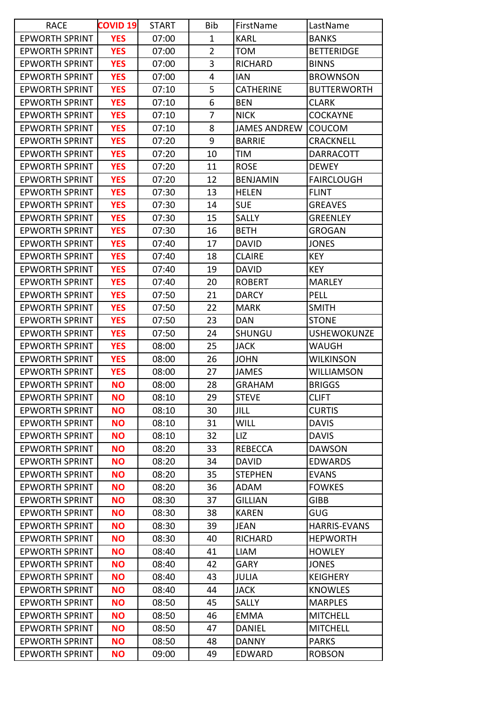| <b>RACE</b>           | <b>COVID 19</b> | <b>START</b> | Bib            | FirstName           | LastName            |
|-----------------------|-----------------|--------------|----------------|---------------------|---------------------|
| <b>EPWORTH SPRINT</b> | <b>YES</b>      | 07:00        | 1              | <b>KARL</b>         | <b>BANKS</b>        |
| <b>EPWORTH SPRINT</b> | <b>YES</b>      | 07:00        | $\overline{2}$ | <b>TOM</b>          | <b>BETTERIDGE</b>   |
| <b>EPWORTH SPRINT</b> | <b>YES</b>      | 07:00        | 3              | <b>RICHARD</b>      | <b>BINNS</b>        |
| <b>EPWORTH SPRINT</b> | <b>YES</b>      | 07:00        | 4              | IAN                 | <b>BROWNSON</b>     |
| <b>EPWORTH SPRINT</b> | <b>YES</b>      | 07:10        | 5              | <b>CATHERINE</b>    | <b>BUTTERWORTH</b>  |
| <b>EPWORTH SPRINT</b> | <b>YES</b>      | 07:10        | 6              | <b>BEN</b>          | <b>CLARK</b>        |
| <b>EPWORTH SPRINT</b> | <b>YES</b>      | 07:10        | 7              | <b>NICK</b>         | <b>COCKAYNE</b>     |
| <b>EPWORTH SPRINT</b> | <b>YES</b>      | 07:10        | 8              | <b>JAMES ANDREW</b> | <b>COUCOM</b>       |
| <b>EPWORTH SPRINT</b> | <b>YES</b>      | 07:20        | 9              | <b>BARRIE</b>       | <b>CRACKNELL</b>    |
| <b>EPWORTH SPRINT</b> | <b>YES</b>      | 07:20        | 10             | TIM                 | <b>DARRACOTT</b>    |
| <b>EPWORTH SPRINT</b> | <b>YES</b>      | 07:20        | 11             | <b>ROSE</b>         | <b>DEWEY</b>        |
| <b>EPWORTH SPRINT</b> | <b>YES</b>      | 07:20        | 12             | <b>BENJAMIN</b>     | <b>FAIRCLOUGH</b>   |
| <b>EPWORTH SPRINT</b> | <b>YES</b>      | 07:30        | 13             | <b>HELEN</b>        | <b>FLINT</b>        |
| <b>EPWORTH SPRINT</b> | <b>YES</b>      | 07:30        | 14             | <b>SUE</b>          | <b>GREAVES</b>      |
| <b>EPWORTH SPRINT</b> | <b>YES</b>      | 07:30        | 15             | <b>SALLY</b>        | <b>GREENLEY</b>     |
| <b>EPWORTH SPRINT</b> | <b>YES</b>      | 07:30        | 16             | <b>BETH</b>         | GROGAN              |
| <b>EPWORTH SPRINT</b> | <b>YES</b>      | 07:40        | 17             | <b>DAVID</b>        | JONES               |
| <b>EPWORTH SPRINT</b> | <b>YES</b>      | 07:40        | 18             | <b>CLAIRE</b>       | <b>KEY</b>          |
| <b>EPWORTH SPRINT</b> | <b>YES</b>      | 07:40        | 19             | <b>DAVID</b>        | <b>KEY</b>          |
| <b>EPWORTH SPRINT</b> | <b>YES</b>      | 07:40        | 20             | <b>ROBERT</b>       | <b>MARLEY</b>       |
| <b>EPWORTH SPRINT</b> | <b>YES</b>      | 07:50        | 21             | <b>DARCY</b>        | <b>PELL</b>         |
| <b>EPWORTH SPRINT</b> | <b>YES</b>      | 07:50        | 22             | <b>MARK</b>         | <b>SMITH</b>        |
| <b>EPWORTH SPRINT</b> | <b>YES</b>      | 07:50        | 23             | <b>DAN</b>          | <b>STONE</b>        |
| <b>EPWORTH SPRINT</b> | <b>YES</b>      | 07:50        | 24             | <b>SHUNGU</b>       | <b>USHEWOKUNZE</b>  |
| <b>EPWORTH SPRINT</b> | <b>YES</b>      | 08:00        | 25             | <b>JACK</b>         | WAUGH               |
| <b>EPWORTH SPRINT</b> | <b>YES</b>      | 08:00        | 26             | <b>JOHN</b>         | WILKINSON           |
| <b>EPWORTH SPRINT</b> | <b>YES</b>      | 08:00        | 27             | <b>JAMES</b>        | WILLIAMSON          |
| <b>EPWORTH SPRINT</b> | <b>NO</b>       | 08:00        | 28             | GRAHAM              | <b>BRIGGS</b>       |
| <b>EPWORTH SPRINT</b> | <b>NO</b>       | 08:10        | 29             | <b>STEVE</b>        | <b>CLIFT</b>        |
| <b>EPWORTH SPRINT</b> | <b>NO</b>       | 08:10        | 30             | JILL                | <b>CURTIS</b>       |
| <b>EPWORTH SPRINT</b> | <b>NO</b>       | 08:10        | 31             | <b>WILL</b>         | <b>DAVIS</b>        |
| <b>EPWORTH SPRINT</b> | <b>NO</b>       | 08:10        | 32             | LIZ                 | <b>DAVIS</b>        |
| <b>EPWORTH SPRINT</b> | <b>NO</b>       | 08:20        | 33             | <b>REBECCA</b>      | <b>DAWSON</b>       |
| <b>EPWORTH SPRINT</b> | <b>NO</b>       | 08:20        | 34             | <b>DAVID</b>        | <b>EDWARDS</b>      |
| <b>EPWORTH SPRINT</b> | <b>NO</b>       | 08:20        | 35             | <b>STEPHEN</b>      | <b>EVANS</b>        |
| <b>EPWORTH SPRINT</b> | <b>NO</b>       | 08:20        | 36             | <b>ADAM</b>         | <b>FOWKES</b>       |
| <b>EPWORTH SPRINT</b> | <b>NO</b>       | 08:30        | 37             | GILLIAN             | <b>GIBB</b>         |
| <b>EPWORTH SPRINT</b> | <b>NO</b>       | 08:30        | 38             | <b>KAREN</b>        | <b>GUG</b>          |
| <b>EPWORTH SPRINT</b> | <b>NO</b>       | 08:30        | 39             | <b>JEAN</b>         | <b>HARRIS-EVANS</b> |
| <b>EPWORTH SPRINT</b> | <b>NO</b>       | 08:30        | 40             | <b>RICHARD</b>      | <b>HEPWORTH</b>     |
| <b>EPWORTH SPRINT</b> | <b>NO</b>       | 08:40        | 41             | <b>LIAM</b>         | <b>HOWLEY</b>       |
| <b>EPWORTH SPRINT</b> | <b>NO</b>       | 08:40        | 42             | GARY                | <b>JONES</b>        |
| <b>EPWORTH SPRINT</b> | <b>NO</b>       | 08:40        | 43             | <b>JULIA</b>        | <b>KEIGHERY</b>     |
| <b>EPWORTH SPRINT</b> | <b>NO</b>       | 08:40        | 44             | <b>JACK</b>         | <b>KNOWLES</b>      |
| <b>EPWORTH SPRINT</b> | <b>NO</b>       | 08:50        | 45             | <b>SALLY</b>        | <b>MARPLES</b>      |
| <b>EPWORTH SPRINT</b> | <b>NO</b>       | 08:50        | 46             | <b>EMMA</b>         | <b>MITCHELL</b>     |
| <b>EPWORTH SPRINT</b> | <b>NO</b>       | 08:50        | 47             | <b>DANIEL</b>       | <b>MITCHELL</b>     |
| <b>EPWORTH SPRINT</b> | <b>NO</b>       | 08:50        | 48             | <b>DANNY</b>        | <b>PARKS</b>        |
| <b>EPWORTH SPRINT</b> | <b>NO</b>       | 09:00        | 49             | EDWARD              | <b>ROBSON</b>       |